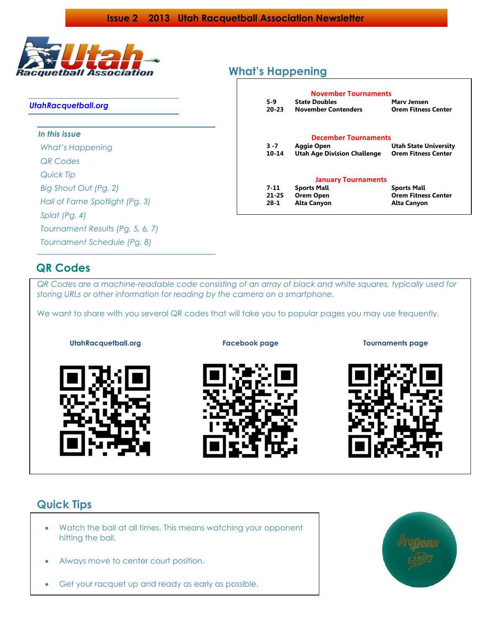

### *UtahRacquetball.org*

#### *In this issue*

*What's Happening QR Codes Quick Tip Big Shout Out (Pg. 2) Hall of Fame Spotlight (Pg. 3) Splat (Pg. 4) Tournament Results (Pg. 5, 6, 7) Tournament Schedule (Pg. 8)*

# **What's Happening**

|           | <b>November Tournaments</b>        |                              |
|-----------|------------------------------------|------------------------------|
| 5-9       | <b>State Doubles</b>               | Mary Jensen                  |
| $20 - 23$ | <b>November Contenders</b>         | <b>Orem Fitness Center</b>   |
|           | <b>December Tournaments</b>        |                              |
| $3 - 7$   | Aggie Open                         | <b>Utah State University</b> |
| 10-14     | <b>Utah Age Division Challenge</b> | <b>Orem Fitness Center</b>   |
|           | <b>January Tournaments</b>         |                              |
| 7-11      | <b>Sports Mall</b>                 | <b>Sports Mall</b>           |
| $21 - 25$ | <b>Orem Open</b>                   | <b>Orem Fitness Center</b>   |
| 28-1      | <b>Alta Canyon</b>                 | <b>Alta Canyon</b>           |

# **QR Codes**

*QR Codes are a machine-readable code consisting of an array of black and white squares, typically used for storing URLs or other information for reading by the camera on a smartphone.*

We want to share with you several QR codes that will take you to popular pages you may use frequently.



**UtahRacquetball.org Facebook page Tournaments page**



# **Quick Tips**

- [Watch the ball](http://racquetball-lessons.com/2011/04/25/the-game-of-bruiseball/) at all times. This means watching your opponent hitting the ball.
- Always move to [center court position.](http://racquetball-lessons.com/2011/06/07/court-positioning/)
- [Get your racquet up and ready as early as possible.](http://racquetball-lessons.com/2011/02/27/four-keys-to-successful-ball-striking/)

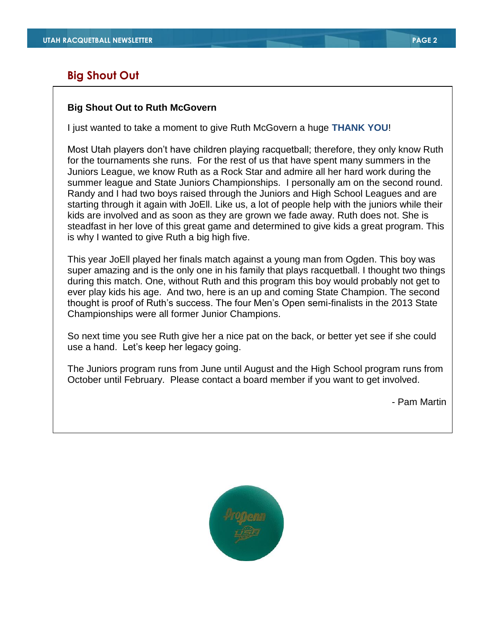# **Big Shout Out**

## **Big Shout Out to Ruth McGovern**

I just wanted to take a moment to give Ruth McGovern a huge **THANK YOU**!

Most Utah players don't have children playing racquetball; therefore, they only know Ruth for the tournaments she runs. For the rest of us that have spent many summers in the Juniors League, we know Ruth as a Rock Star and admire all her hard work during the summer league and State Juniors Championships. I personally am on the second round. Randy and I had two boys raised through the Juniors and High School Leagues and are starting through it again with JoEll. Like us, a lot of people help with the juniors while their kids are involved and as soon as they are grown we fade away. Ruth does not. She is steadfast in her love of this great game and determined to give kids a great program. This is why I wanted to give Ruth a big high five.

This year JoEll played her finals match against a young man from Ogden. This boy was super amazing and is the only one in his family that plays racquetball. I thought two things during this match. One, without Ruth and this program this boy would probably not get to ever play kids his age. And two, here is an up and coming State Champion. The second thought is proof of Ruth's success. The four Men's Open semi-finalists in the 2013 State Championships were all former Junior Champions.

So next time you see Ruth give her a nice pat on the back, or better yet see if she could use a hand. Let's keep her legacy going.

The Juniors program runs from June until August and the High School program runs from October until February. Please contact a board member if you want to get involved.

- Pam Martin



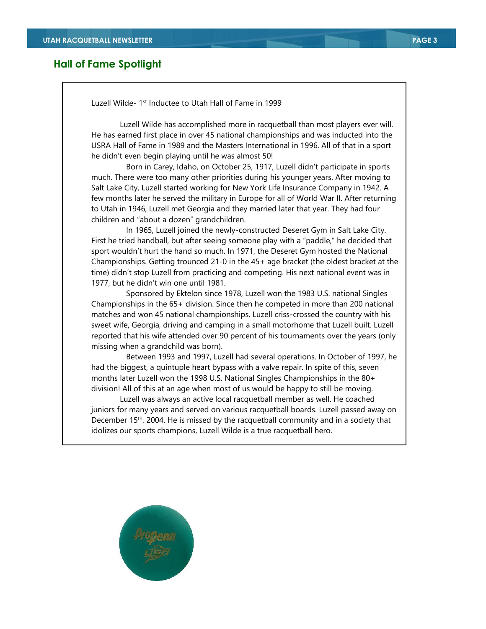## **Hall of Fame Spotlight**

Luzell Wilde- 1<sup>st</sup> Inductee to Utah Hall of Fame in 1999

Luzell Wilde has accomplished more in racquetball than most players ever will. He has earned first place in over 45 national championships and was inducted into the USRA Hall of Fame in 1989 and the Masters International in 1996. All of that in a sport he didn't even begin playing until he was almost 50!

 Born in Carey, Idaho, on October 25, 1917, Luzell didn't participate in sports much. There were too many other priorities during his younger years. After moving to Salt Lake City, Luzell started working for New York Life Insurance Company in 1942. A few months later he served the military in Europe for all of World War II. After returning to Utah in 1946, Luzell met Georgia and they married later that year. They had four children and "about a dozen" grandchildren.

 In 1965, Luzell joined the newly-constructed Deseret Gym in Salt Lake City. First he tried handball, but after seeing someone play with a "paddle," he decided that sport wouldn't hurt the hand so much. In 1971, the Deseret Gym hosted the National Championships. Getting trounced 21-0 in the 45+ age bracket (the oldest bracket at the time) didn't stop Luzell from practicing and competing. His next national event was in 1977, but he didn't win one until 1981.

 Sponsored by Ektelon since 1978, Luzell won the 1983 U.S. national Singles Championships in the 65+ division. Since then he competed in more than 200 national matches and won 45 national championships. Luzell criss-crossed the country with his sweet wife, Georgia, driving and camping in a small motorhome that Luzell built. Luzell reported that his wife attended over 90 percent of his tournaments over the years (only missing when a grandchild was born).

 Between 1993 and 1997, Luzell had several operations. In October of 1997, he had the biggest, a quintuple heart bypass with a valve repair. In spite of this, seven months later Luzell won the 1998 U.S. National Singles Championships in the 80+ division! All of this at an age when most of us would be happy to still be moving.

Luzell was always an active local racquetball member as well. He coached juniors for many years and served on various racquetball boards. Luzell passed away on December 15th, 2004. He is missed by the racquetball community and in a society that idolizes our sports champions, Luzell Wilde is a true racquetball hero.

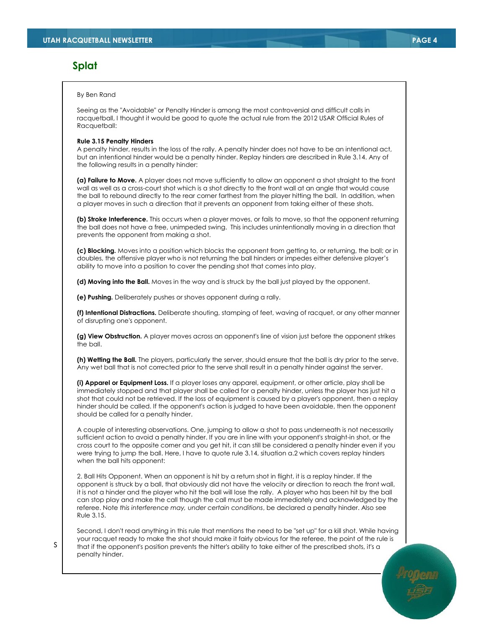## **Splat**

#### By Ben Rand

Seeing as the "Avoidable" or Penalty Hinder is among the most controversial and difficult calls in racquetball, I thought it would be good to quote the actual rule from the 2012 USAR Official Rules of Racquetball:

#### **Rule 3.15 Penalty Hinders**

A penalty hinder, results in the loss of the rally. A penalty hinder does not have to be an intentional act, but an intentional hinder would be a penalty hinder. Replay hinders are described in Rule 3.14. Any of the following results in a penalty hinder:

**(a) Failure to Move.** A player does not move sufficiently to allow an opponent a shot straight to the front wall as well as a cross-court shot which is a shot directly to the front wall at an angle that would cause the ball to rebound directly to the rear corner farthest from the player hitting the ball. In addition, when a player moves in such a direction that it prevents an opponent from taking either of these shots.

**(b) Stroke Interference.** This occurs when a player moves, or fails to move, so that the opponent returning the ball does not have a free, unimpeded swing. This includes unintentionally moving in a direction that prevents the opponent from making a shot.

**(c) Blocking.** Moves into a position which blocks the opponent from getting to, or returning, the ball; or in doubles, the offensive player who is not returning the ball hinders or impedes either defensive player's ability to move into a position to cover the pending shot that comes into play.

**(d) Moving into the Ball.** Moves in the way and is struck by the ball just played by the opponent.

**(e) Pushing.** Deliberately pushes or shoves opponent during a rally.

**(f) Intentional Distractions.** Deliberate shouting, stamping of feet, waving of racquet, or any other manner of disrupting one's opponent.

**(g) View Obstruction.** A player moves across an opponent's line of vision just before the opponent strikes the ball.

**(h) Wetting the Ball.** The players, particularly the server, should ensure that the ball is dry prior to the serve. Any wet ball that is not corrected prior to the serve shall result in a penalty hinder against the server.

**(i) Apparel or Equipment Loss.** If a player loses any apparel, equipment, or other article, play shall be immediately stopped and that player shall be called for a penalty hinder, unless the player has just hit a shot that could not be retrieved. If the loss of equipment is caused by a player's opponent, then a replay hinder should be called. If the opponent's action is judged to have been avoidable, then the opponent should be called for a penalty hinder.

A couple of interesting observations. One, jumping to allow a shot to pass underneath is not necessarily sufficient action to avoid a penalty hinder. If you are in line with your opponent's straight-in shot, or the cross court to the opposite corner and you get hit, it can still be considered a penalty hinder even if you were trying to jump the ball. Here, I have to quote rule 3.14, situation a.2 which covers replay hinders when the ball hits opponent:

2. Ball Hits Opponent. When an opponent is hit by a return shot in flight, it is a replay hinder. If the opponent is struck by a ball, that obviously did not have the velocity or direction to reach the front wall, it is not a hinder and the player who hit the ball will lose the rally. A player who has been hit by the ball can stop play and make the call though the call must be made immediately and acknowledged by the referee. Note *this interference may, under certain conditions*, be declared a penalty hinder. Also see Rule 3.15.

Second, I don't read anything in this rule that mentions the need to be "set up" for a kill shot. While having your racquet ready to make the shot should make it fairly obvious for the referee, the point of the rule is that if the opponent's position prevents the hitter's ability to take either of the prescribed shots, it's a penalty hinder.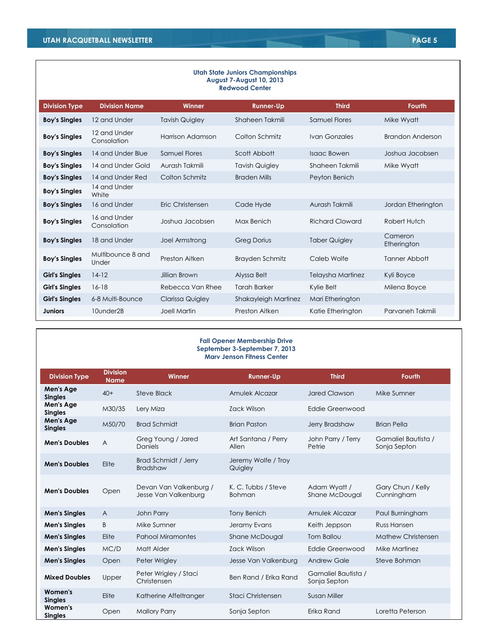| <b>Utah State Juniors Championships</b><br>August 7-August 10, 2013<br><b>Redwood Center</b> |                             |                         |                        |                        |                         |
|----------------------------------------------------------------------------------------------|-----------------------------|-------------------------|------------------------|------------------------|-------------------------|
| <b>Division Type</b>                                                                         | <b>Division Name</b>        | <b>Winner</b>           | <b>Runner-Up</b>       | <b>Third</b>           | <b>Fourth</b>           |
| <b>Boy's Singles</b>                                                                         | 12 and Under                | <b>Tavish Quigley</b>   | Shaheen Takmili        | <b>Samuel Flores</b>   | Mike Wyatt              |
| <b>Boy's Singles</b>                                                                         | 12 and Under<br>Consolation | Harrison Adamson        | Colton Schmitz         | Ivan Gonzales          | <b>Brandon Anderson</b> |
| <b>Boy's Singles</b>                                                                         | 14 and Under Blue           | Samuel Flores           | Scott Abbott           | <b>Isaac Bowen</b>     | Joshua Jacobsen         |
| <b>Boy's Singles</b>                                                                         | 14 and Under Gold           | Aurash Takmili          | <b>Tavish Quigley</b>  | Shaheen Takmili        | Mike Wyatt              |
| <b>Boy's Singles</b>                                                                         | 14 and Under Red            | Colton Schmitz          | <b>Braden Mills</b>    | Peyton Benich          |                         |
| <b>Boy's Singles</b>                                                                         | 14 and Under<br>White       |                         |                        |                        |                         |
| <b>Boy's Singles</b>                                                                         | 16 and Under                | Eric Christensen        | Cade Hyde              | Aurash Takmili         | Jordan Etherington      |
| <b>Boy's Singles</b>                                                                         | 16 and Under<br>Consolation | Joshua Jacobsen         | Max Benich             | <b>Richard Cloward</b> | Robert Hutch            |
| <b>Boy's Singles</b>                                                                         | 18 and Under                | Joel Armstrong          | <b>Greg Dorius</b>     | <b>Taber Quigley</b>   | Cameron<br>Etherington  |
| <b>Boy's Singles</b>                                                                         | Multibounce 8 and<br>Under  | Preston Aitken          | <b>Brayden Schmitz</b> | Caleb Wolfe            | Tanner Abbott           |
| <b>Girl's Singles</b>                                                                        | $14-12$                     | Jillian Brown           | Alyssa Belt            | Telaysha Martinez      | Kyli Boyce              |
| <b>Girl's Singles</b>                                                                        | $16-18$                     | Rebecca Van Rhee        | <b>Tarah Barker</b>    | Kylie Belt             | Milena Boyce            |
| <b>Girl's Singles</b>                                                                        | 6-8 Multi-Bounce            | <b>Clarissa Quigley</b> | Shakayleigh Martinez   | Mari Etherington       |                         |
| <b>Juniors</b>                                                                               | 10under2B                   | Joell Martin            | Preston Aitken         | Katie Etherington      | Parvaneh Takmili        |

#### **Fall Opener Membership Drive September 3-September 7, 2013 Marv Jenson Fitness Center**

| <b>Division Type</b>        | <b>Division</b><br><b>Name</b> | <b>Winner</b>                                  | <b>Runner-Up</b>                     | <b>Third</b>                        | <b>Fourth</b>                       |
|-----------------------------|--------------------------------|------------------------------------------------|--------------------------------------|-------------------------------------|-------------------------------------|
| Men's Age<br><b>Singles</b> | $40+$                          | Steve Black                                    | Amulek Alcazar                       | <b>Jared Clawson</b>                | Mike Sumner                         |
| Men's Age<br><b>Singles</b> | M30/35                         | Lery Miza                                      | Zack Wilson                          | Eddie Greenwood                     |                                     |
| Men's Age<br><b>Singles</b> | M50/70                         | <b>Brad Schmidt</b>                            | <b>Brian Paston</b>                  | Jerry Bradshaw                      | <b>Brian Pella</b>                  |
| <b>Men's Doubles</b>        | A                              | Greg Young / Jared<br><b>Daniels</b>           | Art Santana / Perry<br>Allen         | John Parry / Terry<br>Petrie        | Gamaliel Bautista /<br>Sonja Septon |
| <b>Men's Doubles</b>        | Elite                          | Brad Schmidt / Jerry<br><b>Bradshaw</b>        | Jeremy Wolfe / Troy<br>Quigley       |                                     |                                     |
| <b>Men's Doubles</b>        | Open                           | Devan Van Valkenburg /<br>Jesse Van Valkenburg | K. C. Tubbs / Steve<br><b>Bohman</b> | Adam Wyatt /<br>Shane McDougal      | Gary Chun / Kelly<br>Cunningham     |
| <b>Men's Singles</b>        | $\overline{A}$                 | John Parry                                     | <b>Tony Benich</b>                   | Amulek Alcazar                      | Paul Burningham                     |
| <b>Men's Singles</b>        | B                              | Mike Sumner                                    | Jeramy Evans                         | Keith Jeppson                       | <b>Russ Hansen</b>                  |
| <b>Men's Singles</b>        | Elite                          | <b>Pahool Miramontes</b>                       | Shane McDougal                       | Tom Ballou                          | Mathew Christensen                  |
| <b>Men's Singles</b>        | MC/D                           | Matt Alder                                     | <b>Zack Wilson</b>                   | Eddie Greenwood                     | Mike Martinez                       |
| <b>Men's Singles</b>        | Open                           | Peter Wrigley                                  | Jesse Van Valkenburg                 | <b>Andrew Gale</b>                  | Steve Bohman                        |
| <b>Mixed Doubles</b>        | Upper                          | Peter Wrigley / Staci<br>Christensen           | Ben Rand / Erika Rand                | Gamaliel Bautista /<br>Sonja Septon |                                     |
| Women's<br><b>Singles</b>   | Elite                          | Katherine Affeltranger                         | Staci Christensen                    | <b>Susan Miller</b>                 |                                     |
| Women's<br><b>Singles</b>   | Open                           | <b>Mallory Parry</b>                           | Sonja Septon                         | Erika Rand                          | Loretta Peterson                    |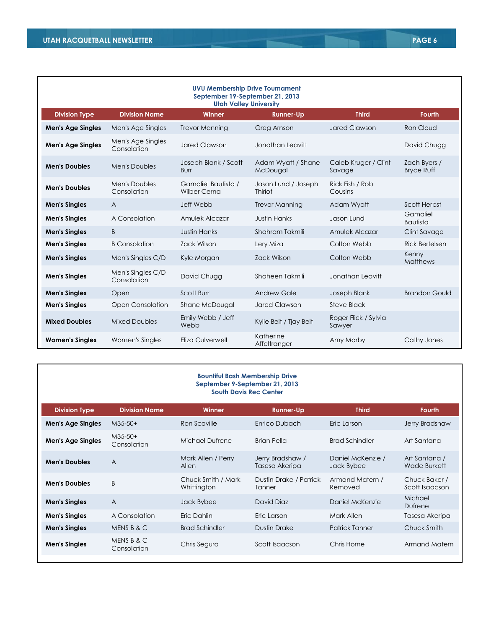| <b>UVU Membership Drive Tournament</b><br>September 19-September 21, 2013<br><b>Utah Valley University</b> |                                  |                                            |                                |                                |                                   |  |
|------------------------------------------------------------------------------------------------------------|----------------------------------|--------------------------------------------|--------------------------------|--------------------------------|-----------------------------------|--|
| <b>Division Type</b>                                                                                       | <b>Division Name</b>             | Winner                                     | <b>Runner-Up</b>               | <b>Third</b>                   | <b>Fourth</b>                     |  |
| <b>Men's Age Singles</b>                                                                                   | Men's Age Singles                | <b>Trevor Manning</b>                      | Greg Arnson                    | <b>Jared Clawson</b>           | <b>Ron Cloud</b>                  |  |
| <b>Men's Age Singles</b>                                                                                   | Men's Age Singles<br>Consolation | <b>Jared Clawson</b>                       | Jonathan Leavitt               |                                | David Chugg                       |  |
| <b>Men's Doubles</b>                                                                                       | Men's Doubles                    | Joseph Blank / Scott<br>Burr               | Adam Wyatt / Shane<br>McDougal | Caleb Kruger / Clint<br>Savage | Zach Byers /<br><b>Bryce Ruff</b> |  |
| <b>Men's Doubles</b>                                                                                       | Men's Doubles<br>Consolation     | Gamaliel Bautista /<br><b>Wilber Cerna</b> | Jason Lund / Joseph<br>Thiriot | Rick Fish / Rob<br>Cousins     |                                   |  |
| <b>Men's Singles</b>                                                                                       | $\overline{A}$                   | Jeff Webb                                  | <b>Trevor Manning</b>          | Adam Wyatt                     | Scott Herbst                      |  |
| <b>Men's Singles</b>                                                                                       | A Consolation                    | Amulek Alcazar                             | <b>Justin Hanks</b>            | Jason Lund                     | Gamaliel<br><b>Bautista</b>       |  |
| <b>Men's Singles</b>                                                                                       | B                                | <b>Justin Hanks</b>                        | Shahram Takmili                | Amulek Alcazar                 | Clint Savage                      |  |
| <b>Men's Singles</b>                                                                                       | <b>B</b> Consolation             | <b>Zack Wilson</b>                         | Lery Miza                      | Colton Webb                    | <b>Rick Bertelsen</b>             |  |
| <b>Men's Singles</b>                                                                                       | Men's Singles C/D                | Kyle Morgan                                | <b>Zack Wilson</b>             | Colton Webb                    | Kenny<br>Matthews                 |  |
| <b>Men's Singles</b>                                                                                       | Men's Singles C/D<br>Consolation | David Chugg                                | Shaheen Takmili                | Jonathan Leavitt               |                                   |  |
| <b>Men's Singles</b>                                                                                       | Open                             | Scott Burr                                 | <b>Andrew Gale</b>             | Joseph Blank                   | <b>Brandon Gould</b>              |  |
| <b>Men's Singles</b>                                                                                       | <b>Open Consolation</b>          | Shane McDougal                             | <b>Jared Clawson</b>           | Steve Black                    |                                   |  |
| <b>Mixed Doubles</b>                                                                                       | <b>Mixed Doubles</b>             | Emily Webb / Jeff<br>Webb                  | Kylie Belt / Tjay Belt         | Roger Flick / Sylvia<br>Sawyer |                                   |  |
| <b>Women's Singles</b>                                                                                     | Women's Singles                  | Eliza Culverwell                           | Katherine<br>Affeltranger      | Amy Morby                      | Cathy Jones                       |  |

| <b>Bountiful Bash Membership Drive</b><br>September 9-September 21, 2013<br><b>South Davis Rec Center</b> |                           |                                   |                                    |                                 |                                 |
|-----------------------------------------------------------------------------------------------------------|---------------------------|-----------------------------------|------------------------------------|---------------------------------|---------------------------------|
| <b>Division Type</b>                                                                                      | <b>Division Name</b>      | <b>Winner</b>                     | <b>Runner-Up</b>                   | <b>Third</b>                    | <b>Fourth</b>                   |
| <b>Men's Age Singles</b>                                                                                  | $M35-50+$                 | Ron Scoville                      | Enrico Dubach                      | Eric Larson                     | Jerry Bradshaw                  |
| <b>Men's Age Singles</b>                                                                                  | $M35-50+$<br>Consolation  | Michael Dufrene                   | <b>Brian Pella</b>                 | <b>Brad Schindler</b>           | Art Santana                     |
| <b>Men's Doubles</b>                                                                                      | A                         | Mark Allen / Perry<br>Allen       | Jerry Bradshaw /<br>Tasesa Akeripa | Daniel McKenzie /<br>Jack Bybee | Art Santana /<br>Wade Burkett   |
| <b>Men's Doubles</b>                                                                                      | B                         | Chuck Smith / Mark<br>Whittington | Dustin Drake / Patrick<br>Tanner   | Armand Matern /<br>Removed      | Chuck Baker /<br>Scott Isaacson |
| <b>Men's Singles</b>                                                                                      | $\overline{A}$            | Jack Bybee                        | David Diaz                         | Daniel McKenzie                 | Michael<br>Dufrene              |
| <b>Men's Singles</b>                                                                                      | A Consolation             | Eric Dahlin                       | Eric Larson                        | Mark Allen                      | Tasesa Akeripa                  |
| <b>Men's Singles</b>                                                                                      | MENS B & C                | <b>Brad Schindler</b>             | Dustin Drake                       | <b>Patrick Tanner</b>           | Chuck Smith                     |
| <b>Men's Singles</b>                                                                                      | MENS B & C<br>Consolation | Chris Segura                      | Scott Isaacson                     | Chris Horne                     | Armand Matern                   |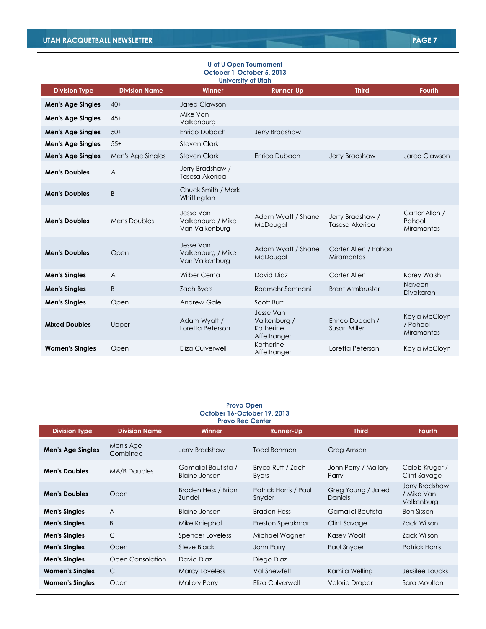| <b>U</b> of U Open Tournament<br>October 1-October 5, 2013<br><b>University of Utah</b> |                      |                                                  |                                                        |                                            |                                                |
|-----------------------------------------------------------------------------------------|----------------------|--------------------------------------------------|--------------------------------------------------------|--------------------------------------------|------------------------------------------------|
| <b>Division Type</b>                                                                    | <b>Division Name</b> | Winner                                           | <b>Runner-Up</b>                                       | <b>Third</b>                               | <b>Fourth</b>                                  |
| <b>Men's Age Singles</b>                                                                | $40+$                | <b>Jared Clawson</b>                             |                                                        |                                            |                                                |
| <b>Men's Age Singles</b>                                                                | $45+$                | Mike Van<br>Valkenburg                           |                                                        |                                            |                                                |
| <b>Men's Age Singles</b>                                                                | $50+$                | <b>Enrico Dubach</b>                             | Jerry Bradshaw                                         |                                            |                                                |
| <b>Men's Age Singles</b>                                                                | $55+$                | Steven Clark                                     |                                                        |                                            |                                                |
| <b>Men's Age Singles</b>                                                                | Men's Age Singles    | <b>Steven Clark</b>                              | Enrico Dubach                                          | Jerry Bradshaw                             | <b>Jared Clawson</b>                           |
| <b>Men's Doubles</b>                                                                    | $\overline{A}$       | Jerry Bradshaw /<br>Tasesa Akeripa               |                                                        |                                            |                                                |
| <b>Men's Doubles</b>                                                                    | B                    | Chuck Smith / Mark<br>Whittington                |                                                        |                                            |                                                |
| <b>Men's Doubles</b>                                                                    | <b>Mens Doubles</b>  | Jesse Van<br>Valkenburg / Mike<br>Van Valkenburg | Adam Wyatt / Shane<br>McDougal                         | Jerry Bradshaw /<br>Tasesa Akeripa         | Carter Allen /<br>Pahool<br><b>Miramontes</b>  |
| <b>Men's Doubles</b>                                                                    | Open                 | Jesse Van<br>Valkenburg / Mike<br>Van Valkenburg | Adam Wyatt / Shane<br>McDougal                         | Carter Allen / Pahool<br><b>Miramontes</b> |                                                |
| <b>Men's Singles</b>                                                                    | $\overline{A}$       | Wilber Cerna                                     | David Diaz                                             | Carter Allen                               | Korey Walsh                                    |
| <b>Men's Singles</b>                                                                    | B                    | <b>Zach Byers</b>                                | Rodmehr Semnani                                        | <b>Brent Armbruster</b>                    | Naveen<br>Divakaran                            |
| <b>Men's Singles</b>                                                                    | Open                 | <b>Andrew Gale</b>                               | Scott Burr                                             |                                            |                                                |
| <b>Mixed Doubles</b>                                                                    | Upper                | Adam Wyatt /<br>Loretta Peterson                 | Jesse Van<br>Valkenburg /<br>Katherine<br>Affeltranger | Enrico Dubach /<br>Susan Miller            | Kayla McCloyn<br>/ Pahool<br><b>Miramontes</b> |
| <b>Women's Singles</b>                                                                  | Open                 | Eliza Culverwell                                 | Katherine<br>Affeltranger                              | Loretta Peterson                           | Kayla McCloyn                                  |

| <b>Provo Open</b><br>October 16-October 19, 2013<br><b>Provo Rec Center</b> |                         |                                             |                                   |                               |                                            |  |
|-----------------------------------------------------------------------------|-------------------------|---------------------------------------------|-----------------------------------|-------------------------------|--------------------------------------------|--|
| <b>Division Type</b>                                                        | <b>Division Name</b>    | Winner                                      | <b>Runner-Up</b>                  | <b>Third</b>                  | <b>Fourth</b>                              |  |
| <b>Men's Age Singles</b>                                                    | Men's Age<br>Combined   | Jerry Bradshaw                              | Todd Bohman                       | Greg Arnson                   |                                            |  |
| <b>Men's Doubles</b>                                                        | <b>MA/B Doubles</b>     | Gamaliel Bautista /<br><b>Blaine Jensen</b> | Bryce Ruff / Zach<br><b>Byers</b> | John Parry / Mallory<br>Parry | Caleb Kruger /<br>Clint Savage             |  |
| <b>Men's Doubles</b>                                                        | Open                    | Braden Hess / Brian<br>Zundel               | Patrick Harris / Paul<br>Snyder   | Greg Young / Jared<br>Daniels | Jerry Bradshaw<br>/ Mike Van<br>Valkenburg |  |
| <b>Men's Singles</b>                                                        | $\overline{A}$          | Blaine Jensen                               | <b>Braden Hess</b>                | Gamaliel Bautista             | <b>Ben Sisson</b>                          |  |
| <b>Men's Singles</b>                                                        | B                       | Mike Kniephof                               | Preston Speakman                  | Clint Savage                  | Zack Wilson                                |  |
| <b>Men's Singles</b>                                                        | $\mathsf{C}$            | Spencer Loveless                            | Michael Wagner                    | Kasey Woolf                   | Zack Wilson                                |  |
| <b>Men's Singles</b>                                                        | Open                    | <b>Steve Black</b>                          | John Parry                        | Paul Snyder                   | <b>Patrick Harris</b>                      |  |
| <b>Men's Singles</b>                                                        | <b>Open Consolation</b> | David Diaz                                  | Diego Diaz                        |                               |                                            |  |
| <b>Women's Singles</b>                                                      | C                       | <b>Marcy Loveless</b>                       | Val Shewfelt                      | Kamila Welling                | Jessilee Loucks                            |  |
| <b>Women's Singles</b>                                                      | Open                    | <b>Mallory Parry</b>                        | Eliza Culverwell                  | Valorie Draper                | Sara Moulton                               |  |

٦